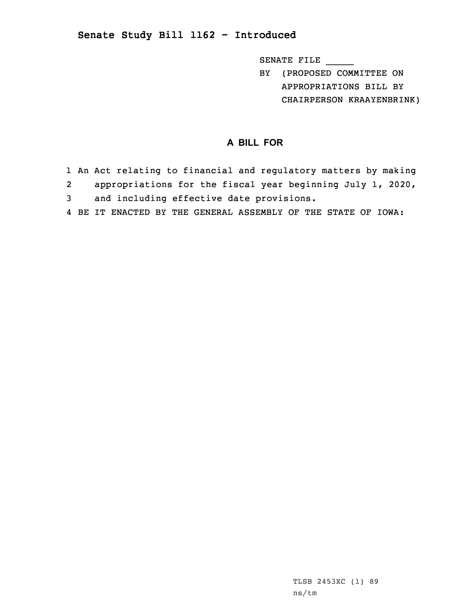## **Senate Study Bill 1162 - Introduced**

SENATE FILE \_\_\_\_\_

BY (PROPOSED COMMITTEE ON APPROPRIATIONS BILL BY CHAIRPERSON KRAAYENBRINK)

## **A BILL FOR**

- 1 An Act relating to financial and regulatory matters by making 2 appropriations for the fiscal year beginning July 1, 2020, 3 and including effective date provisions.
- 4 BE IT ENACTED BY THE GENERAL ASSEMBLY OF THE STATE OF IOWA: